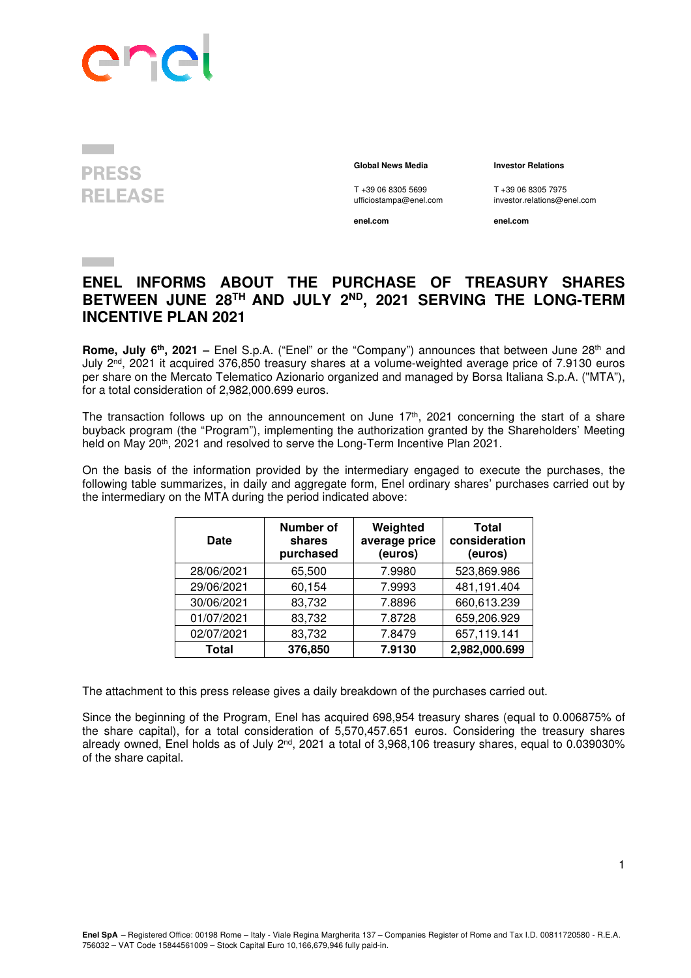

## **PRESS RELEASE**

## **Global News Media Investor Relations**

T +39 06 8305 5699 T +39 06 8305 7975<br>ufficiostampa@enel.com investor.relations@e

**enel.com enel.com**

investor.relations@enel.com

## **ENEL INFORMS ABOUT THE PURCHASE OF TREASURY SHARES BETWEEN JUNE 28TH AND JULY 2ND, 2021 SERVING THE LONG-TERM INCENTIVE PLAN 2021**

**Rome, July 6<sup>th</sup>, 2021** – Enel S.p.A. ("Enel" or the "Company") announces that between June 28<sup>th</sup> and July 2nd, 2021 it acquired 376,850 treasury shares at a volume-weighted average price of 7.9130 euros per share on the Mercato Telematico Azionario organized and managed by Borsa Italiana S.p.A. ("MTA"), for a total consideration of 2,982,000.699 euros.

The transaction follows up on the announcement on June  $17<sup>th</sup>$ , 2021 concerning the start of a share buyback program (the "Program"), implementing the authorization granted by the Shareholders' Meeting held on May 20<sup>th</sup>, 2021 and resolved to serve the Long-Term Incentive Plan 2021.

On the basis of the information provided by the intermediary engaged to execute the purchases, the following table summarizes, in daily and aggregate form, Enel ordinary shares' purchases carried out by the intermediary on the MTA during the period indicated above:

| <b>Date</b> | <b>Number of</b><br>shares<br>purchased | Weighted<br>average price<br>(euros) | <b>Total</b><br>consideration<br>(euros) |
|-------------|-----------------------------------------|--------------------------------------|------------------------------------------|
| 28/06/2021  | 65,500                                  | 7.9980                               | 523,869.986                              |
| 29/06/2021  | 60,154                                  | 7.9993                               | 481,191.404                              |
| 30/06/2021  | 83,732                                  | 7.8896                               | 660,613.239                              |
| 01/07/2021  | 83,732                                  | 7.8728                               | 659,206.929                              |
| 02/07/2021  | 83,732                                  | 7.8479                               | 657,119.141                              |
| Total       | 376,850                                 | 7.9130                               | 2,982,000.699                            |

The attachment to this press release gives a daily breakdown of the purchases carried out.

Since the beginning of the Program, Enel has acquired 698,954 treasury shares (equal to 0.006875% of the share capital), for a total consideration of 5,570,457.651 euros. Considering the treasury shares already owned. Enel holds as of July  $2^{nd}$ , 2021 a total of 3,968,106 treasury shares, equal to 0.039030% of the share capital.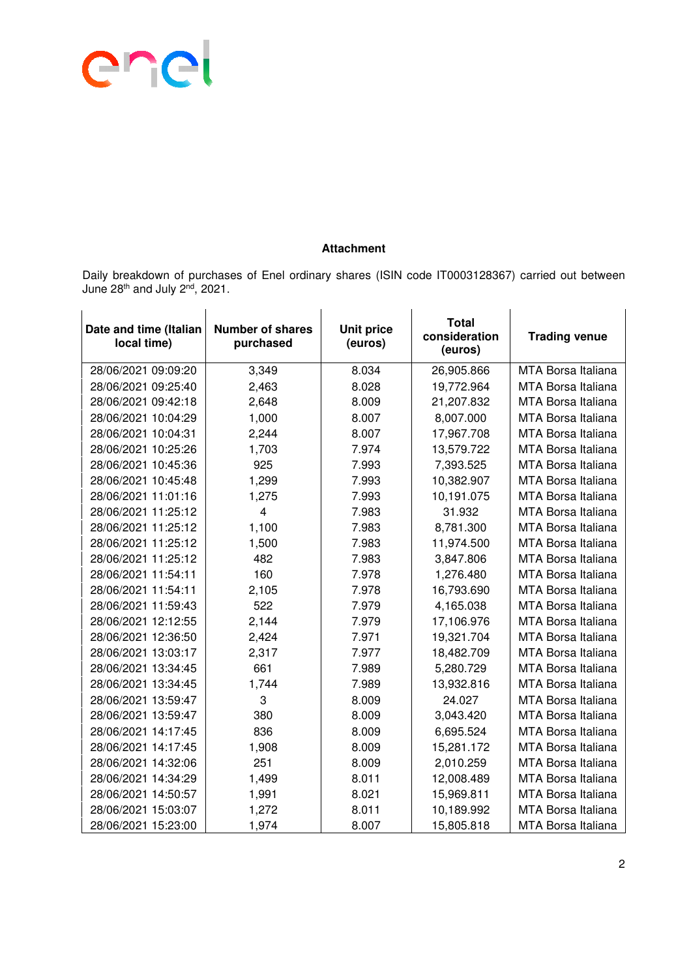

## **Attachment**

Daily breakdown of purchases of Enel ordinary shares (ISIN code IT0003128367) carried out between June 28th and July 2nd, 2021.

| Date and time (Italian<br>local time) | <b>Number of shares</b><br>purchased | <b>Unit price</b><br>(euros) | <b>Total</b><br>consideration<br>(euros) | <b>Trading venue</b>      |
|---------------------------------------|--------------------------------------|------------------------------|------------------------------------------|---------------------------|
| 28/06/2021 09:09:20                   | 3,349                                | 8.034                        | 26,905.866                               | MTA Borsa Italiana        |
| 28/06/2021 09:25:40                   | 2,463                                | 8.028                        | 19,772.964                               | <b>MTA Borsa Italiana</b> |
| 28/06/2021 09:42:18                   | 2,648                                | 8.009                        | 21,207.832                               | <b>MTA Borsa Italiana</b> |
| 28/06/2021 10:04:29                   | 1,000                                | 8.007                        | 8,007.000                                | <b>MTA Borsa Italiana</b> |
| 28/06/2021 10:04:31                   | 2,244                                | 8.007                        | 17,967.708                               | MTA Borsa Italiana        |
| 28/06/2021 10:25:26                   | 1,703                                | 7.974                        | 13,579.722                               | <b>MTA Borsa Italiana</b> |
| 28/06/2021 10:45:36                   | 925                                  | 7.993                        | 7,393.525                                | <b>MTA Borsa Italiana</b> |
| 28/06/2021 10:45:48                   | 1,299                                | 7.993                        | 10,382.907                               | MTA Borsa Italiana        |
| 28/06/2021 11:01:16                   | 1,275                                | 7.993                        | 10,191.075                               | <b>MTA Borsa Italiana</b> |
| 28/06/2021 11:25:12                   | $\overline{4}$                       | 7.983                        | 31.932                                   | MTA Borsa Italiana        |
| 28/06/2021 11:25:12                   | 1,100                                | 7.983                        | 8,781.300                                | <b>MTA Borsa Italiana</b> |
| 28/06/2021 11:25:12                   | 1,500                                | 7.983                        | 11,974.500                               | MTA Borsa Italiana        |
| 28/06/2021 11:25:12                   | 482                                  | 7.983                        | 3,847.806                                | <b>MTA Borsa Italiana</b> |
| 28/06/2021 11:54:11                   | 160                                  | 7.978                        | 1,276.480                                | <b>MTA Borsa Italiana</b> |
| 28/06/2021 11:54:11                   | 2,105                                | 7.978                        | 16,793.690                               | <b>MTA Borsa Italiana</b> |
| 28/06/2021 11:59:43                   | 522                                  | 7.979                        | 4,165.038                                | <b>MTA Borsa Italiana</b> |
| 28/06/2021 12:12:55                   | 2,144                                | 7.979                        | 17,106.976                               | <b>MTA Borsa Italiana</b> |
| 28/06/2021 12:36:50                   | 2,424                                | 7.971                        | 19,321.704                               | MTA Borsa Italiana        |
| 28/06/2021 13:03:17                   | 2,317                                | 7.977                        | 18,482.709                               | <b>MTA Borsa Italiana</b> |
| 28/06/2021 13:34:45                   | 661                                  | 7.989                        | 5,280.729                                | <b>MTA Borsa Italiana</b> |
| 28/06/2021 13:34:45                   | 1,744                                | 7.989                        | 13,932.816                               | <b>MTA Borsa Italiana</b> |
| 28/06/2021 13:59:47                   | 3                                    | 8.009                        | 24.027                                   | MTA Borsa Italiana        |
| 28/06/2021 13:59:47                   | 380                                  | 8.009                        | 3,043.420                                | MTA Borsa Italiana        |
| 28/06/2021 14:17:45                   | 836                                  | 8.009                        | 6,695.524                                | <b>MTA Borsa Italiana</b> |
| 28/06/2021 14:17:45                   | 1,908                                | 8.009                        | 15,281.172                               | <b>MTA Borsa Italiana</b> |
| 28/06/2021 14:32:06                   | 251                                  | 8.009                        | 2,010.259                                | MTA Borsa Italiana        |
| 28/06/2021 14:34:29                   | 1,499                                | 8.011                        | 12,008.489                               | MTA Borsa Italiana        |
| 28/06/2021 14:50:57                   | 1,991                                | 8.021                        | 15,969.811                               | <b>MTA Borsa Italiana</b> |
| 28/06/2021 15:03:07                   | 1,272                                | 8.011                        | 10,189.992                               | MTA Borsa Italiana        |
| 28/06/2021 15:23:00                   | 1,974                                | 8.007                        | 15,805.818                               | MTA Borsa Italiana        |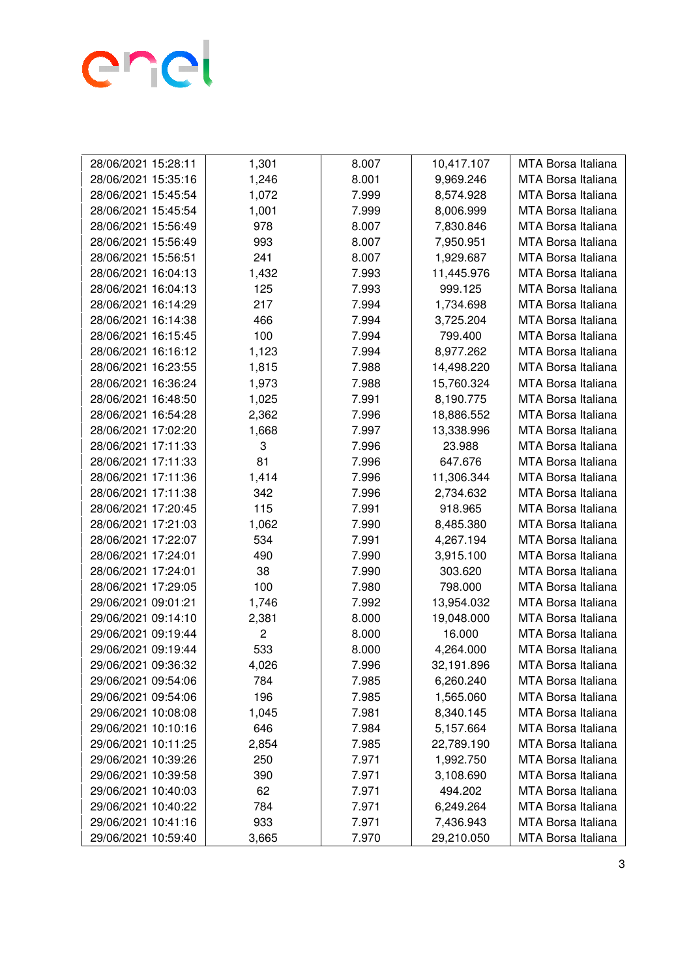

| 1,246<br>8.001<br>9,969.246<br>MTA Borsa Italiana<br>28/06/2021 15:35:16<br>1,072<br>7.999<br>8,574.928<br>28/06/2021 15:45:54<br>MTA Borsa Italiana<br>28/06/2021 15:45:54<br>1,001<br>7.999<br>8,006.999<br>MTA Borsa Italiana<br>978<br>8.007<br>MTA Borsa Italiana<br>28/06/2021 15:56:49<br>7,830.846<br>993<br>8.007<br>MTA Borsa Italiana<br>28/06/2021 15:56:49<br>7,950.951<br>241<br>8.007<br>1,929.687<br>MTA Borsa Italiana<br>28/06/2021 15:56:51<br>1,432<br><b>MTA Borsa Italiana</b><br>28/06/2021 16:04:13<br>7.993<br>11,445.976<br>28/06/2021 16:04:13<br>125<br>7.993<br>999.125<br>MTA Borsa Italiana<br>217<br>7.994<br>MTA Borsa Italiana<br>28/06/2021 16:14:29<br>1,734.698<br>28/06/2021 16:14:38<br>7.994<br>466<br>3,725.204<br>MTA Borsa Italiana<br>28/06/2021 16:15:45<br>100<br>7.994<br>799.400<br>MTA Borsa Italiana<br>28/06/2021 16:16:12<br>1,123<br>7.994<br>8,977.262<br>MTA Borsa Italiana<br>1,815<br>7.988<br>28/06/2021 16:23:55<br>14,498.220<br>MTA Borsa Italiana<br>28/06/2021 16:36:24<br>1,973<br>7.988<br>15,760.324<br>MTA Borsa Italiana<br>7.991<br>8,190.775<br>MTA Borsa Italiana<br>28/06/2021 16:48:50<br>1,025<br>28/06/2021 16:54:28<br>2,362<br>7.996<br>18,886.552<br>MTA Borsa Italiana<br>1,668<br>7.997<br>13,338.996<br>28/06/2021 17:02:20<br><b>MTA Borsa Italiana</b><br>3<br>7.996<br>28/06/2021 17:11:33<br>23.988<br>MTA Borsa Italiana<br>81<br>28/06/2021 17:11:33<br>7.996<br>647.676<br>MTA Borsa Italiana<br>28/06/2021 17:11:36<br>1,414<br>7.996<br>MTA Borsa Italiana<br>11,306.344<br>342<br>7.996<br>28/06/2021 17:11:38<br>2,734.632<br>MTA Borsa Italiana<br>115<br>7.991<br>918.965<br>MTA Borsa Italiana<br>28/06/2021 17:20:45<br>1,062<br>7.990<br>28/06/2021 17:21:03<br>8,485.380<br>MTA Borsa Italiana<br>7.991<br>MTA Borsa Italiana<br>28/06/2021 17:22:07<br>534<br>4,267.194<br>490<br>7.990<br>3,915.100<br>MTA Borsa Italiana<br>28/06/2021 17:24:01<br>38<br>7.990<br>303.620<br>28/06/2021 17:24:01<br>MTA Borsa Italiana<br>28/06/2021 17:29:05<br>100<br>7.980<br>798.000<br>MTA Borsa Italiana<br>29/06/2021 09:01:21<br>1,746<br>7.992<br>MTA Borsa Italiana<br>13,954.032<br>29/06/2021 09:14:10<br>2,381<br>8.000<br><b>MTA Borsa Italiana</b><br>19,048.000<br>$\overline{c}$<br>16.000<br>MTA Borsa Italiana<br>29/06/2021 09:19:44<br>8.000<br>29/06/2021 09:19:44<br>533<br>8.000<br><b>MTA Borsa Italiana</b><br>4,264.000<br>29/06/2021 09:36:32<br>4,026<br>7.996<br>32,191.896<br>MTA Borsa Italiana<br>MTA Borsa Italiana<br>29/06/2021 09:54:06<br>7.985<br>6,260.240<br>784<br>29/06/2021 09:54:06<br>196<br>1,565.060<br>MTA Borsa Italiana<br>7.985<br>29/06/2021 10:08:08<br><b>MTA Borsa Italiana</b><br>1,045<br>7.981<br>8,340.145<br>29/06/2021 10:10:16<br>646<br>7.984<br><b>MTA Borsa Italiana</b><br>5,157.664<br>MTA Borsa Italiana<br>29/06/2021 10:11:25<br>2,854<br>22,789.190<br>7.985<br>29/06/2021 10:39:26<br>250<br>MTA Borsa Italiana<br>7.971<br>1,992.750<br>MTA Borsa Italiana<br>29/06/2021 10:39:58<br>7.971<br>390<br>3,108.690<br>29/06/2021 10:40:03<br>62<br>494.202<br>MTA Borsa Italiana<br>7.971<br>MTA Borsa Italiana<br>29/06/2021 10:40:22<br>6,249.264<br>784<br>7.971<br>MTA Borsa Italiana<br>29/06/2021 10:41:16<br>933<br>7.971<br>7,436.943 |                     |       |       |            |                    |
|----------------------------------------------------------------------------------------------------------------------------------------------------------------------------------------------------------------------------------------------------------------------------------------------------------------------------------------------------------------------------------------------------------------------------------------------------------------------------------------------------------------------------------------------------------------------------------------------------------------------------------------------------------------------------------------------------------------------------------------------------------------------------------------------------------------------------------------------------------------------------------------------------------------------------------------------------------------------------------------------------------------------------------------------------------------------------------------------------------------------------------------------------------------------------------------------------------------------------------------------------------------------------------------------------------------------------------------------------------------------------------------------------------------------------------------------------------------------------------------------------------------------------------------------------------------------------------------------------------------------------------------------------------------------------------------------------------------------------------------------------------------------------------------------------------------------------------------------------------------------------------------------------------------------------------------------------------------------------------------------------------------------------------------------------------------------------------------------------------------------------------------------------------------------------------------------------------------------------------------------------------------------------------------------------------------------------------------------------------------------------------------------------------------------------------------------------------------------------------------------------------------------------------------------------------------------------------------------------------------------------------------------------------------------------------------------------------------------------------------------------------------------------------------------------------------------------------------------------------------------------------------------------------------------------------------------------------------------------------------------------------------------------------------------------------------------------------------------------------------------------------------------------------------------------------------------------------------------------------------------------------------------------------------------------------|---------------------|-------|-------|------------|--------------------|
|                                                                                                                                                                                                                                                                                                                                                                                                                                                                                                                                                                                                                                                                                                                                                                                                                                                                                                                                                                                                                                                                                                                                                                                                                                                                                                                                                                                                                                                                                                                                                                                                                                                                                                                                                                                                                                                                                                                                                                                                                                                                                                                                                                                                                                                                                                                                                                                                                                                                                                                                                                                                                                                                                                                                                                                                                                                                                                                                                                                                                                                                                                                                                                                                                                                                                                          | 28/06/2021 15:28:11 | 1,301 | 8.007 | 10,417.107 | MTA Borsa Italiana |
|                                                                                                                                                                                                                                                                                                                                                                                                                                                                                                                                                                                                                                                                                                                                                                                                                                                                                                                                                                                                                                                                                                                                                                                                                                                                                                                                                                                                                                                                                                                                                                                                                                                                                                                                                                                                                                                                                                                                                                                                                                                                                                                                                                                                                                                                                                                                                                                                                                                                                                                                                                                                                                                                                                                                                                                                                                                                                                                                                                                                                                                                                                                                                                                                                                                                                                          |                     |       |       |            |                    |
|                                                                                                                                                                                                                                                                                                                                                                                                                                                                                                                                                                                                                                                                                                                                                                                                                                                                                                                                                                                                                                                                                                                                                                                                                                                                                                                                                                                                                                                                                                                                                                                                                                                                                                                                                                                                                                                                                                                                                                                                                                                                                                                                                                                                                                                                                                                                                                                                                                                                                                                                                                                                                                                                                                                                                                                                                                                                                                                                                                                                                                                                                                                                                                                                                                                                                                          |                     |       |       |            |                    |
|                                                                                                                                                                                                                                                                                                                                                                                                                                                                                                                                                                                                                                                                                                                                                                                                                                                                                                                                                                                                                                                                                                                                                                                                                                                                                                                                                                                                                                                                                                                                                                                                                                                                                                                                                                                                                                                                                                                                                                                                                                                                                                                                                                                                                                                                                                                                                                                                                                                                                                                                                                                                                                                                                                                                                                                                                                                                                                                                                                                                                                                                                                                                                                                                                                                                                                          |                     |       |       |            |                    |
|                                                                                                                                                                                                                                                                                                                                                                                                                                                                                                                                                                                                                                                                                                                                                                                                                                                                                                                                                                                                                                                                                                                                                                                                                                                                                                                                                                                                                                                                                                                                                                                                                                                                                                                                                                                                                                                                                                                                                                                                                                                                                                                                                                                                                                                                                                                                                                                                                                                                                                                                                                                                                                                                                                                                                                                                                                                                                                                                                                                                                                                                                                                                                                                                                                                                                                          |                     |       |       |            |                    |
|                                                                                                                                                                                                                                                                                                                                                                                                                                                                                                                                                                                                                                                                                                                                                                                                                                                                                                                                                                                                                                                                                                                                                                                                                                                                                                                                                                                                                                                                                                                                                                                                                                                                                                                                                                                                                                                                                                                                                                                                                                                                                                                                                                                                                                                                                                                                                                                                                                                                                                                                                                                                                                                                                                                                                                                                                                                                                                                                                                                                                                                                                                                                                                                                                                                                                                          |                     |       |       |            |                    |
|                                                                                                                                                                                                                                                                                                                                                                                                                                                                                                                                                                                                                                                                                                                                                                                                                                                                                                                                                                                                                                                                                                                                                                                                                                                                                                                                                                                                                                                                                                                                                                                                                                                                                                                                                                                                                                                                                                                                                                                                                                                                                                                                                                                                                                                                                                                                                                                                                                                                                                                                                                                                                                                                                                                                                                                                                                                                                                                                                                                                                                                                                                                                                                                                                                                                                                          |                     |       |       |            |                    |
|                                                                                                                                                                                                                                                                                                                                                                                                                                                                                                                                                                                                                                                                                                                                                                                                                                                                                                                                                                                                                                                                                                                                                                                                                                                                                                                                                                                                                                                                                                                                                                                                                                                                                                                                                                                                                                                                                                                                                                                                                                                                                                                                                                                                                                                                                                                                                                                                                                                                                                                                                                                                                                                                                                                                                                                                                                                                                                                                                                                                                                                                                                                                                                                                                                                                                                          |                     |       |       |            |                    |
|                                                                                                                                                                                                                                                                                                                                                                                                                                                                                                                                                                                                                                                                                                                                                                                                                                                                                                                                                                                                                                                                                                                                                                                                                                                                                                                                                                                                                                                                                                                                                                                                                                                                                                                                                                                                                                                                                                                                                                                                                                                                                                                                                                                                                                                                                                                                                                                                                                                                                                                                                                                                                                                                                                                                                                                                                                                                                                                                                                                                                                                                                                                                                                                                                                                                                                          |                     |       |       |            |                    |
|                                                                                                                                                                                                                                                                                                                                                                                                                                                                                                                                                                                                                                                                                                                                                                                                                                                                                                                                                                                                                                                                                                                                                                                                                                                                                                                                                                                                                                                                                                                                                                                                                                                                                                                                                                                                                                                                                                                                                                                                                                                                                                                                                                                                                                                                                                                                                                                                                                                                                                                                                                                                                                                                                                                                                                                                                                                                                                                                                                                                                                                                                                                                                                                                                                                                                                          |                     |       |       |            |                    |
|                                                                                                                                                                                                                                                                                                                                                                                                                                                                                                                                                                                                                                                                                                                                                                                                                                                                                                                                                                                                                                                                                                                                                                                                                                                                                                                                                                                                                                                                                                                                                                                                                                                                                                                                                                                                                                                                                                                                                                                                                                                                                                                                                                                                                                                                                                                                                                                                                                                                                                                                                                                                                                                                                                                                                                                                                                                                                                                                                                                                                                                                                                                                                                                                                                                                                                          |                     |       |       |            |                    |
|                                                                                                                                                                                                                                                                                                                                                                                                                                                                                                                                                                                                                                                                                                                                                                                                                                                                                                                                                                                                                                                                                                                                                                                                                                                                                                                                                                                                                                                                                                                                                                                                                                                                                                                                                                                                                                                                                                                                                                                                                                                                                                                                                                                                                                                                                                                                                                                                                                                                                                                                                                                                                                                                                                                                                                                                                                                                                                                                                                                                                                                                                                                                                                                                                                                                                                          |                     |       |       |            |                    |
|                                                                                                                                                                                                                                                                                                                                                                                                                                                                                                                                                                                                                                                                                                                                                                                                                                                                                                                                                                                                                                                                                                                                                                                                                                                                                                                                                                                                                                                                                                                                                                                                                                                                                                                                                                                                                                                                                                                                                                                                                                                                                                                                                                                                                                                                                                                                                                                                                                                                                                                                                                                                                                                                                                                                                                                                                                                                                                                                                                                                                                                                                                                                                                                                                                                                                                          |                     |       |       |            |                    |
|                                                                                                                                                                                                                                                                                                                                                                                                                                                                                                                                                                                                                                                                                                                                                                                                                                                                                                                                                                                                                                                                                                                                                                                                                                                                                                                                                                                                                                                                                                                                                                                                                                                                                                                                                                                                                                                                                                                                                                                                                                                                                                                                                                                                                                                                                                                                                                                                                                                                                                                                                                                                                                                                                                                                                                                                                                                                                                                                                                                                                                                                                                                                                                                                                                                                                                          |                     |       |       |            |                    |
|                                                                                                                                                                                                                                                                                                                                                                                                                                                                                                                                                                                                                                                                                                                                                                                                                                                                                                                                                                                                                                                                                                                                                                                                                                                                                                                                                                                                                                                                                                                                                                                                                                                                                                                                                                                                                                                                                                                                                                                                                                                                                                                                                                                                                                                                                                                                                                                                                                                                                                                                                                                                                                                                                                                                                                                                                                                                                                                                                                                                                                                                                                                                                                                                                                                                                                          |                     |       |       |            |                    |
|                                                                                                                                                                                                                                                                                                                                                                                                                                                                                                                                                                                                                                                                                                                                                                                                                                                                                                                                                                                                                                                                                                                                                                                                                                                                                                                                                                                                                                                                                                                                                                                                                                                                                                                                                                                                                                                                                                                                                                                                                                                                                                                                                                                                                                                                                                                                                                                                                                                                                                                                                                                                                                                                                                                                                                                                                                                                                                                                                                                                                                                                                                                                                                                                                                                                                                          |                     |       |       |            |                    |
|                                                                                                                                                                                                                                                                                                                                                                                                                                                                                                                                                                                                                                                                                                                                                                                                                                                                                                                                                                                                                                                                                                                                                                                                                                                                                                                                                                                                                                                                                                                                                                                                                                                                                                                                                                                                                                                                                                                                                                                                                                                                                                                                                                                                                                                                                                                                                                                                                                                                                                                                                                                                                                                                                                                                                                                                                                                                                                                                                                                                                                                                                                                                                                                                                                                                                                          |                     |       |       |            |                    |
|                                                                                                                                                                                                                                                                                                                                                                                                                                                                                                                                                                                                                                                                                                                                                                                                                                                                                                                                                                                                                                                                                                                                                                                                                                                                                                                                                                                                                                                                                                                                                                                                                                                                                                                                                                                                                                                                                                                                                                                                                                                                                                                                                                                                                                                                                                                                                                                                                                                                                                                                                                                                                                                                                                                                                                                                                                                                                                                                                                                                                                                                                                                                                                                                                                                                                                          |                     |       |       |            |                    |
|                                                                                                                                                                                                                                                                                                                                                                                                                                                                                                                                                                                                                                                                                                                                                                                                                                                                                                                                                                                                                                                                                                                                                                                                                                                                                                                                                                                                                                                                                                                                                                                                                                                                                                                                                                                                                                                                                                                                                                                                                                                                                                                                                                                                                                                                                                                                                                                                                                                                                                                                                                                                                                                                                                                                                                                                                                                                                                                                                                                                                                                                                                                                                                                                                                                                                                          |                     |       |       |            |                    |
|                                                                                                                                                                                                                                                                                                                                                                                                                                                                                                                                                                                                                                                                                                                                                                                                                                                                                                                                                                                                                                                                                                                                                                                                                                                                                                                                                                                                                                                                                                                                                                                                                                                                                                                                                                                                                                                                                                                                                                                                                                                                                                                                                                                                                                                                                                                                                                                                                                                                                                                                                                                                                                                                                                                                                                                                                                                                                                                                                                                                                                                                                                                                                                                                                                                                                                          |                     |       |       |            |                    |
|                                                                                                                                                                                                                                                                                                                                                                                                                                                                                                                                                                                                                                                                                                                                                                                                                                                                                                                                                                                                                                                                                                                                                                                                                                                                                                                                                                                                                                                                                                                                                                                                                                                                                                                                                                                                                                                                                                                                                                                                                                                                                                                                                                                                                                                                                                                                                                                                                                                                                                                                                                                                                                                                                                                                                                                                                                                                                                                                                                                                                                                                                                                                                                                                                                                                                                          |                     |       |       |            |                    |
|                                                                                                                                                                                                                                                                                                                                                                                                                                                                                                                                                                                                                                                                                                                                                                                                                                                                                                                                                                                                                                                                                                                                                                                                                                                                                                                                                                                                                                                                                                                                                                                                                                                                                                                                                                                                                                                                                                                                                                                                                                                                                                                                                                                                                                                                                                                                                                                                                                                                                                                                                                                                                                                                                                                                                                                                                                                                                                                                                                                                                                                                                                                                                                                                                                                                                                          |                     |       |       |            |                    |
|                                                                                                                                                                                                                                                                                                                                                                                                                                                                                                                                                                                                                                                                                                                                                                                                                                                                                                                                                                                                                                                                                                                                                                                                                                                                                                                                                                                                                                                                                                                                                                                                                                                                                                                                                                                                                                                                                                                                                                                                                                                                                                                                                                                                                                                                                                                                                                                                                                                                                                                                                                                                                                                                                                                                                                                                                                                                                                                                                                                                                                                                                                                                                                                                                                                                                                          |                     |       |       |            |                    |
|                                                                                                                                                                                                                                                                                                                                                                                                                                                                                                                                                                                                                                                                                                                                                                                                                                                                                                                                                                                                                                                                                                                                                                                                                                                                                                                                                                                                                                                                                                                                                                                                                                                                                                                                                                                                                                                                                                                                                                                                                                                                                                                                                                                                                                                                                                                                                                                                                                                                                                                                                                                                                                                                                                                                                                                                                                                                                                                                                                                                                                                                                                                                                                                                                                                                                                          |                     |       |       |            |                    |
|                                                                                                                                                                                                                                                                                                                                                                                                                                                                                                                                                                                                                                                                                                                                                                                                                                                                                                                                                                                                                                                                                                                                                                                                                                                                                                                                                                                                                                                                                                                                                                                                                                                                                                                                                                                                                                                                                                                                                                                                                                                                                                                                                                                                                                                                                                                                                                                                                                                                                                                                                                                                                                                                                                                                                                                                                                                                                                                                                                                                                                                                                                                                                                                                                                                                                                          |                     |       |       |            |                    |
|                                                                                                                                                                                                                                                                                                                                                                                                                                                                                                                                                                                                                                                                                                                                                                                                                                                                                                                                                                                                                                                                                                                                                                                                                                                                                                                                                                                                                                                                                                                                                                                                                                                                                                                                                                                                                                                                                                                                                                                                                                                                                                                                                                                                                                                                                                                                                                                                                                                                                                                                                                                                                                                                                                                                                                                                                                                                                                                                                                                                                                                                                                                                                                                                                                                                                                          |                     |       |       |            |                    |
|                                                                                                                                                                                                                                                                                                                                                                                                                                                                                                                                                                                                                                                                                                                                                                                                                                                                                                                                                                                                                                                                                                                                                                                                                                                                                                                                                                                                                                                                                                                                                                                                                                                                                                                                                                                                                                                                                                                                                                                                                                                                                                                                                                                                                                                                                                                                                                                                                                                                                                                                                                                                                                                                                                                                                                                                                                                                                                                                                                                                                                                                                                                                                                                                                                                                                                          |                     |       |       |            |                    |
|                                                                                                                                                                                                                                                                                                                                                                                                                                                                                                                                                                                                                                                                                                                                                                                                                                                                                                                                                                                                                                                                                                                                                                                                                                                                                                                                                                                                                                                                                                                                                                                                                                                                                                                                                                                                                                                                                                                                                                                                                                                                                                                                                                                                                                                                                                                                                                                                                                                                                                                                                                                                                                                                                                                                                                                                                                                                                                                                                                                                                                                                                                                                                                                                                                                                                                          |                     |       |       |            |                    |
|                                                                                                                                                                                                                                                                                                                                                                                                                                                                                                                                                                                                                                                                                                                                                                                                                                                                                                                                                                                                                                                                                                                                                                                                                                                                                                                                                                                                                                                                                                                                                                                                                                                                                                                                                                                                                                                                                                                                                                                                                                                                                                                                                                                                                                                                                                                                                                                                                                                                                                                                                                                                                                                                                                                                                                                                                                                                                                                                                                                                                                                                                                                                                                                                                                                                                                          |                     |       |       |            |                    |
|                                                                                                                                                                                                                                                                                                                                                                                                                                                                                                                                                                                                                                                                                                                                                                                                                                                                                                                                                                                                                                                                                                                                                                                                                                                                                                                                                                                                                                                                                                                                                                                                                                                                                                                                                                                                                                                                                                                                                                                                                                                                                                                                                                                                                                                                                                                                                                                                                                                                                                                                                                                                                                                                                                                                                                                                                                                                                                                                                                                                                                                                                                                                                                                                                                                                                                          |                     |       |       |            |                    |
|                                                                                                                                                                                                                                                                                                                                                                                                                                                                                                                                                                                                                                                                                                                                                                                                                                                                                                                                                                                                                                                                                                                                                                                                                                                                                                                                                                                                                                                                                                                                                                                                                                                                                                                                                                                                                                                                                                                                                                                                                                                                                                                                                                                                                                                                                                                                                                                                                                                                                                                                                                                                                                                                                                                                                                                                                                                                                                                                                                                                                                                                                                                                                                                                                                                                                                          |                     |       |       |            |                    |
|                                                                                                                                                                                                                                                                                                                                                                                                                                                                                                                                                                                                                                                                                                                                                                                                                                                                                                                                                                                                                                                                                                                                                                                                                                                                                                                                                                                                                                                                                                                                                                                                                                                                                                                                                                                                                                                                                                                                                                                                                                                                                                                                                                                                                                                                                                                                                                                                                                                                                                                                                                                                                                                                                                                                                                                                                                                                                                                                                                                                                                                                                                                                                                                                                                                                                                          |                     |       |       |            |                    |
|                                                                                                                                                                                                                                                                                                                                                                                                                                                                                                                                                                                                                                                                                                                                                                                                                                                                                                                                                                                                                                                                                                                                                                                                                                                                                                                                                                                                                                                                                                                                                                                                                                                                                                                                                                                                                                                                                                                                                                                                                                                                                                                                                                                                                                                                                                                                                                                                                                                                                                                                                                                                                                                                                                                                                                                                                                                                                                                                                                                                                                                                                                                                                                                                                                                                                                          |                     |       |       |            |                    |
|                                                                                                                                                                                                                                                                                                                                                                                                                                                                                                                                                                                                                                                                                                                                                                                                                                                                                                                                                                                                                                                                                                                                                                                                                                                                                                                                                                                                                                                                                                                                                                                                                                                                                                                                                                                                                                                                                                                                                                                                                                                                                                                                                                                                                                                                                                                                                                                                                                                                                                                                                                                                                                                                                                                                                                                                                                                                                                                                                                                                                                                                                                                                                                                                                                                                                                          |                     |       |       |            |                    |
|                                                                                                                                                                                                                                                                                                                                                                                                                                                                                                                                                                                                                                                                                                                                                                                                                                                                                                                                                                                                                                                                                                                                                                                                                                                                                                                                                                                                                                                                                                                                                                                                                                                                                                                                                                                                                                                                                                                                                                                                                                                                                                                                                                                                                                                                                                                                                                                                                                                                                                                                                                                                                                                                                                                                                                                                                                                                                                                                                                                                                                                                                                                                                                                                                                                                                                          |                     |       |       |            |                    |
|                                                                                                                                                                                                                                                                                                                                                                                                                                                                                                                                                                                                                                                                                                                                                                                                                                                                                                                                                                                                                                                                                                                                                                                                                                                                                                                                                                                                                                                                                                                                                                                                                                                                                                                                                                                                                                                                                                                                                                                                                                                                                                                                                                                                                                                                                                                                                                                                                                                                                                                                                                                                                                                                                                                                                                                                                                                                                                                                                                                                                                                                                                                                                                                                                                                                                                          |                     |       |       |            |                    |
|                                                                                                                                                                                                                                                                                                                                                                                                                                                                                                                                                                                                                                                                                                                                                                                                                                                                                                                                                                                                                                                                                                                                                                                                                                                                                                                                                                                                                                                                                                                                                                                                                                                                                                                                                                                                                                                                                                                                                                                                                                                                                                                                                                                                                                                                                                                                                                                                                                                                                                                                                                                                                                                                                                                                                                                                                                                                                                                                                                                                                                                                                                                                                                                                                                                                                                          |                     |       |       |            |                    |
|                                                                                                                                                                                                                                                                                                                                                                                                                                                                                                                                                                                                                                                                                                                                                                                                                                                                                                                                                                                                                                                                                                                                                                                                                                                                                                                                                                                                                                                                                                                                                                                                                                                                                                                                                                                                                                                                                                                                                                                                                                                                                                                                                                                                                                                                                                                                                                                                                                                                                                                                                                                                                                                                                                                                                                                                                                                                                                                                                                                                                                                                                                                                                                                                                                                                                                          |                     |       |       |            |                    |
|                                                                                                                                                                                                                                                                                                                                                                                                                                                                                                                                                                                                                                                                                                                                                                                                                                                                                                                                                                                                                                                                                                                                                                                                                                                                                                                                                                                                                                                                                                                                                                                                                                                                                                                                                                                                                                                                                                                                                                                                                                                                                                                                                                                                                                                                                                                                                                                                                                                                                                                                                                                                                                                                                                                                                                                                                                                                                                                                                                                                                                                                                                                                                                                                                                                                                                          |                     |       |       |            |                    |
|                                                                                                                                                                                                                                                                                                                                                                                                                                                                                                                                                                                                                                                                                                                                                                                                                                                                                                                                                                                                                                                                                                                                                                                                                                                                                                                                                                                                                                                                                                                                                                                                                                                                                                                                                                                                                                                                                                                                                                                                                                                                                                                                                                                                                                                                                                                                                                                                                                                                                                                                                                                                                                                                                                                                                                                                                                                                                                                                                                                                                                                                                                                                                                                                                                                                                                          |                     |       |       |            |                    |
|                                                                                                                                                                                                                                                                                                                                                                                                                                                                                                                                                                                                                                                                                                                                                                                                                                                                                                                                                                                                                                                                                                                                                                                                                                                                                                                                                                                                                                                                                                                                                                                                                                                                                                                                                                                                                                                                                                                                                                                                                                                                                                                                                                                                                                                                                                                                                                                                                                                                                                                                                                                                                                                                                                                                                                                                                                                                                                                                                                                                                                                                                                                                                                                                                                                                                                          |                     |       |       |            |                    |
|                                                                                                                                                                                                                                                                                                                                                                                                                                                                                                                                                                                                                                                                                                                                                                                                                                                                                                                                                                                                                                                                                                                                                                                                                                                                                                                                                                                                                                                                                                                                                                                                                                                                                                                                                                                                                                                                                                                                                                                                                                                                                                                                                                                                                                                                                                                                                                                                                                                                                                                                                                                                                                                                                                                                                                                                                                                                                                                                                                                                                                                                                                                                                                                                                                                                                                          |                     |       |       |            |                    |
|                                                                                                                                                                                                                                                                                                                                                                                                                                                                                                                                                                                                                                                                                                                                                                                                                                                                                                                                                                                                                                                                                                                                                                                                                                                                                                                                                                                                                                                                                                                                                                                                                                                                                                                                                                                                                                                                                                                                                                                                                                                                                                                                                                                                                                                                                                                                                                                                                                                                                                                                                                                                                                                                                                                                                                                                                                                                                                                                                                                                                                                                                                                                                                                                                                                                                                          |                     |       |       |            |                    |
|                                                                                                                                                                                                                                                                                                                                                                                                                                                                                                                                                                                                                                                                                                                                                                                                                                                                                                                                                                                                                                                                                                                                                                                                                                                                                                                                                                                                                                                                                                                                                                                                                                                                                                                                                                                                                                                                                                                                                                                                                                                                                                                                                                                                                                                                                                                                                                                                                                                                                                                                                                                                                                                                                                                                                                                                                                                                                                                                                                                                                                                                                                                                                                                                                                                                                                          | 29/06/2021 10:59:40 | 3,665 | 7.970 | 29,210.050 | MTA Borsa Italiana |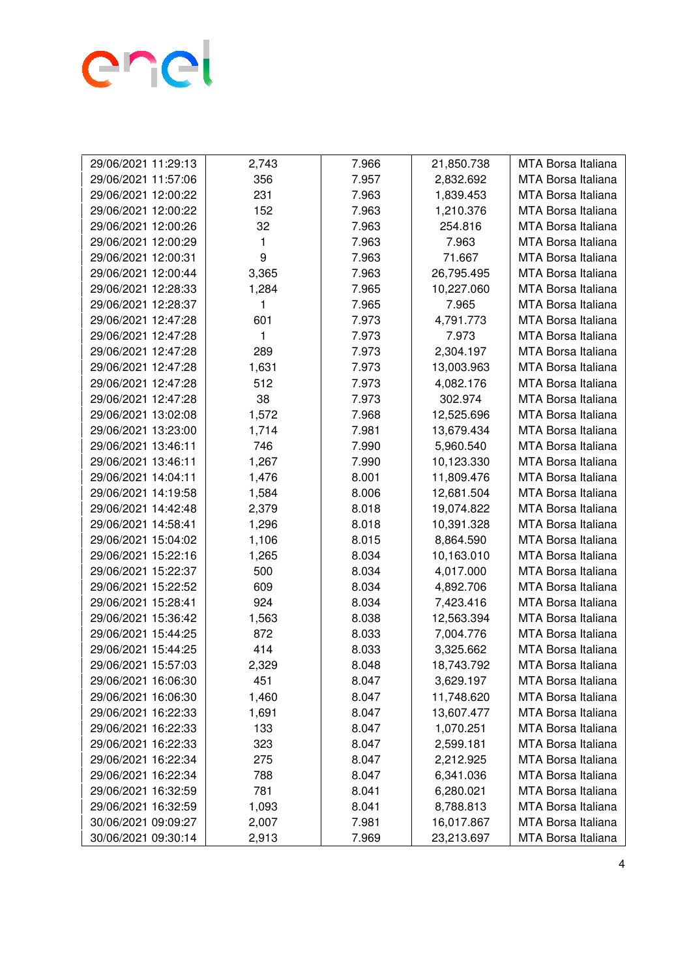

| 29/06/2021 11:29:13 | 2,743 | 7.966 | 21,850.738 | <b>MTA Borsa Italiana</b> |
|---------------------|-------|-------|------------|---------------------------|
| 29/06/2021 11:57:06 | 356   | 7.957 | 2,832.692  | MTA Borsa Italiana        |
| 29/06/2021 12:00:22 | 231   | 7.963 | 1,839.453  | MTA Borsa Italiana        |
| 29/06/2021 12:00:22 | 152   | 7.963 | 1,210.376  | MTA Borsa Italiana        |
| 29/06/2021 12:00:26 | 32    | 7.963 | 254.816    | MTA Borsa Italiana        |
| 29/06/2021 12:00:29 | 1     | 7.963 | 7.963      | MTA Borsa Italiana        |
| 29/06/2021 12:00:31 | 9     | 7.963 | 71.667     | MTA Borsa Italiana        |
| 29/06/2021 12:00:44 | 3,365 | 7.963 | 26,795.495 | MTA Borsa Italiana        |
| 29/06/2021 12:28:33 | 1,284 | 7.965 | 10,227.060 | MTA Borsa Italiana        |
| 29/06/2021 12:28:37 | 1     | 7.965 | 7.965      | MTA Borsa Italiana        |
| 29/06/2021 12:47:28 | 601   | 7.973 | 4,791.773  | MTA Borsa Italiana        |
| 29/06/2021 12:47:28 | 1     | 7.973 | 7.973      | MTA Borsa Italiana        |
| 29/06/2021 12:47:28 | 289   | 7.973 | 2,304.197  | MTA Borsa Italiana        |
| 29/06/2021 12:47:28 | 1,631 | 7.973 | 13,003.963 | MTA Borsa Italiana        |
| 29/06/2021 12:47:28 | 512   | 7.973 | 4,082.176  | MTA Borsa Italiana        |
| 29/06/2021 12:47:28 | 38    | 7.973 | 302.974    | MTA Borsa Italiana        |
| 29/06/2021 13:02:08 | 1,572 | 7.968 | 12,525.696 | MTA Borsa Italiana        |
| 29/06/2021 13:23:00 | 1,714 | 7.981 | 13,679.434 | MTA Borsa Italiana        |
| 29/06/2021 13:46:11 | 746   | 7.990 | 5,960.540  | MTA Borsa Italiana        |
| 29/06/2021 13:46:11 | 1,267 | 7.990 | 10,123.330 | MTA Borsa Italiana        |
| 29/06/2021 14:04:11 | 1,476 | 8.001 | 11,809.476 | MTA Borsa Italiana        |
| 29/06/2021 14:19:58 | 1,584 | 8.006 | 12,681.504 | MTA Borsa Italiana        |
| 29/06/2021 14:42:48 | 2,379 | 8.018 | 19,074.822 | MTA Borsa Italiana        |
| 29/06/2021 14:58:41 | 1,296 | 8.018 | 10,391.328 | MTA Borsa Italiana        |
| 29/06/2021 15:04:02 | 1,106 | 8.015 | 8,864.590  | MTA Borsa Italiana        |
| 29/06/2021 15:22:16 | 1,265 | 8.034 | 10,163.010 | MTA Borsa Italiana        |
| 29/06/2021 15:22:37 | 500   | 8.034 | 4,017.000  | MTA Borsa Italiana        |
| 29/06/2021 15:22:52 | 609   | 8.034 | 4,892.706  | MTA Borsa Italiana        |
| 29/06/2021 15:28:41 | 924   | 8.034 | 7,423.416  | MTA Borsa Italiana        |
| 29/06/2021 15:36:42 | 1,563 | 8.038 | 12,563.394 | MTA Borsa Italiana        |
| 29/06/2021 15:44:25 | 872   | 8.033 | 7,004.776  | MTA Borsa Italiana        |
| 29/06/2021 15:44:25 | 414   | 8.033 | 3,325.662  | MTA Borsa Italiana        |
| 29/06/2021 15:57:03 | 2,329 | 8.048 | 18,743.792 | MTA Borsa Italiana        |
| 29/06/2021 16:06:30 | 451   | 8.047 | 3,629.197  | MTA Borsa Italiana        |
| 29/06/2021 16:06:30 | 1,460 | 8.047 | 11,748.620 | MTA Borsa Italiana        |
| 29/06/2021 16:22:33 | 1,691 | 8.047 | 13,607.477 | MTA Borsa Italiana        |
| 29/06/2021 16:22:33 | 133   | 8.047 | 1,070.251  | MTA Borsa Italiana        |
| 29/06/2021 16:22:33 | 323   | 8.047 | 2,599.181  | MTA Borsa Italiana        |
| 29/06/2021 16:22:34 | 275   | 8.047 | 2,212.925  | MTA Borsa Italiana        |
| 29/06/2021 16:22:34 | 788   | 8.047 | 6,341.036  | <b>MTA Borsa Italiana</b> |
| 29/06/2021 16:32:59 | 781   | 8.041 | 6,280.021  | <b>MTA Borsa Italiana</b> |
| 29/06/2021 16:32:59 | 1,093 | 8.041 | 8,788.813  | MTA Borsa Italiana        |
| 30/06/2021 09:09:27 | 2,007 | 7.981 | 16,017.867 | MTA Borsa Italiana        |
| 30/06/2021 09:30:14 | 2,913 | 7.969 | 23,213.697 | MTA Borsa Italiana        |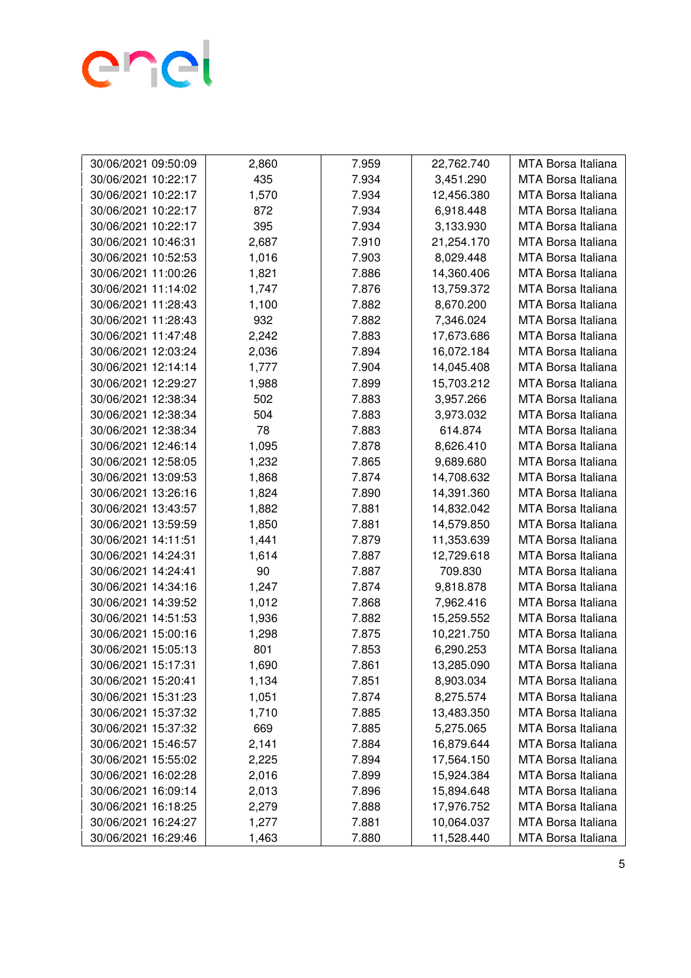

| 30/06/2021 09:50:09 | 2,860 | 7.959 | 22,762.740 | MTA Borsa Italiana        |
|---------------------|-------|-------|------------|---------------------------|
| 30/06/2021 10:22:17 | 435   | 7.934 | 3,451.290  | MTA Borsa Italiana        |
| 30/06/2021 10:22:17 | 1,570 | 7.934 | 12,456.380 | MTA Borsa Italiana        |
| 30/06/2021 10:22:17 | 872   | 7.934 | 6,918.448  | MTA Borsa Italiana        |
| 30/06/2021 10:22:17 | 395   | 7.934 | 3,133.930  | MTA Borsa Italiana        |
| 30/06/2021 10:46:31 | 2,687 | 7.910 | 21,254.170 | MTA Borsa Italiana        |
| 30/06/2021 10:52:53 | 1,016 | 7.903 | 8,029.448  | MTA Borsa Italiana        |
| 30/06/2021 11:00:26 | 1,821 | 7.886 | 14,360.406 | MTA Borsa Italiana        |
| 30/06/2021 11:14:02 | 1,747 | 7.876 | 13,759.372 | MTA Borsa Italiana        |
| 30/06/2021 11:28:43 | 1,100 | 7.882 | 8,670.200  | <b>MTA Borsa Italiana</b> |
| 30/06/2021 11:28:43 | 932   | 7.882 | 7,346.024  | MTA Borsa Italiana        |
| 30/06/2021 11:47:48 | 2,242 | 7.883 | 17,673.686 | MTA Borsa Italiana        |
| 30/06/2021 12:03:24 | 2,036 | 7.894 | 16,072.184 | MTA Borsa Italiana        |
| 30/06/2021 12:14:14 | 1,777 | 7.904 | 14,045.408 | MTA Borsa Italiana        |
| 30/06/2021 12:29:27 | 1,988 | 7.899 | 15,703.212 | MTA Borsa Italiana        |
| 30/06/2021 12:38:34 | 502   | 7.883 | 3,957.266  | MTA Borsa Italiana        |
| 30/06/2021 12:38:34 | 504   | 7.883 | 3,973.032  | MTA Borsa Italiana        |
| 30/06/2021 12:38:34 | 78    | 7.883 | 614.874    | MTA Borsa Italiana        |
| 30/06/2021 12:46:14 | 1,095 | 7.878 | 8,626.410  | MTA Borsa Italiana        |
| 30/06/2021 12:58:05 | 1,232 | 7.865 | 9,689.680  | MTA Borsa Italiana        |
| 30/06/2021 13:09:53 | 1,868 | 7.874 | 14,708.632 | MTA Borsa Italiana        |
| 30/06/2021 13:26:16 | 1,824 | 7.890 | 14,391.360 | MTA Borsa Italiana        |
| 30/06/2021 13:43:57 | 1,882 | 7.881 | 14,832.042 | MTA Borsa Italiana        |
| 30/06/2021 13:59:59 | 1,850 | 7.881 | 14,579.850 | MTA Borsa Italiana        |
| 30/06/2021 14:11:51 | 1,441 | 7.879 | 11,353.639 | MTA Borsa Italiana        |
| 30/06/2021 14:24:31 | 1,614 | 7.887 | 12,729.618 | MTA Borsa Italiana        |
| 30/06/2021 14:24:41 | 90    | 7.887 | 709.830    | MTA Borsa Italiana        |
| 30/06/2021 14:34:16 | 1,247 | 7.874 | 9,818.878  | MTA Borsa Italiana        |
| 30/06/2021 14:39:52 | 1,012 | 7.868 | 7,962.416  | MTA Borsa Italiana        |
| 30/06/2021 14:51:53 | 1,936 | 7.882 | 15,259.552 | <b>MTA Borsa Italiana</b> |
| 30/06/2021 15:00:16 | 1,298 | 7.875 | 10,221.750 | MTA Borsa Italiana        |
| 30/06/2021 15:05:13 | 801   | 7.853 | 6,290.253  | <b>MTA Borsa Italiana</b> |
| 30/06/2021 15:17:31 | 1,690 | 7.861 | 13,285.090 | <b>MTA Borsa Italiana</b> |
| 30/06/2021 15:20:41 | 1,134 | 7.851 | 8,903.034  | MTA Borsa Italiana        |
| 30/06/2021 15:31:23 | 1,051 | 7.874 | 8,275.574  | MTA Borsa Italiana        |
| 30/06/2021 15:37:32 | 1,710 | 7.885 | 13,483.350 | MTA Borsa Italiana        |
| 30/06/2021 15:37:32 | 669   | 7.885 | 5,275.065  | MTA Borsa Italiana        |
| 30/06/2021 15:46:57 | 2,141 | 7.884 | 16,879.644 | MTA Borsa Italiana        |
| 30/06/2021 15:55:02 | 2,225 | 7.894 | 17,564.150 | MTA Borsa Italiana        |
| 30/06/2021 16:02:28 | 2,016 | 7.899 | 15,924.384 | MTA Borsa Italiana        |
| 30/06/2021 16:09:14 | 2,013 | 7.896 | 15,894.648 | MTA Borsa Italiana        |
| 30/06/2021 16:18:25 | 2,279 | 7.888 | 17,976.752 | MTA Borsa Italiana        |
| 30/06/2021 16:24:27 | 1,277 | 7.881 | 10,064.037 | MTA Borsa Italiana        |
| 30/06/2021 16:29:46 | 1,463 | 7.880 | 11,528.440 | MTA Borsa Italiana        |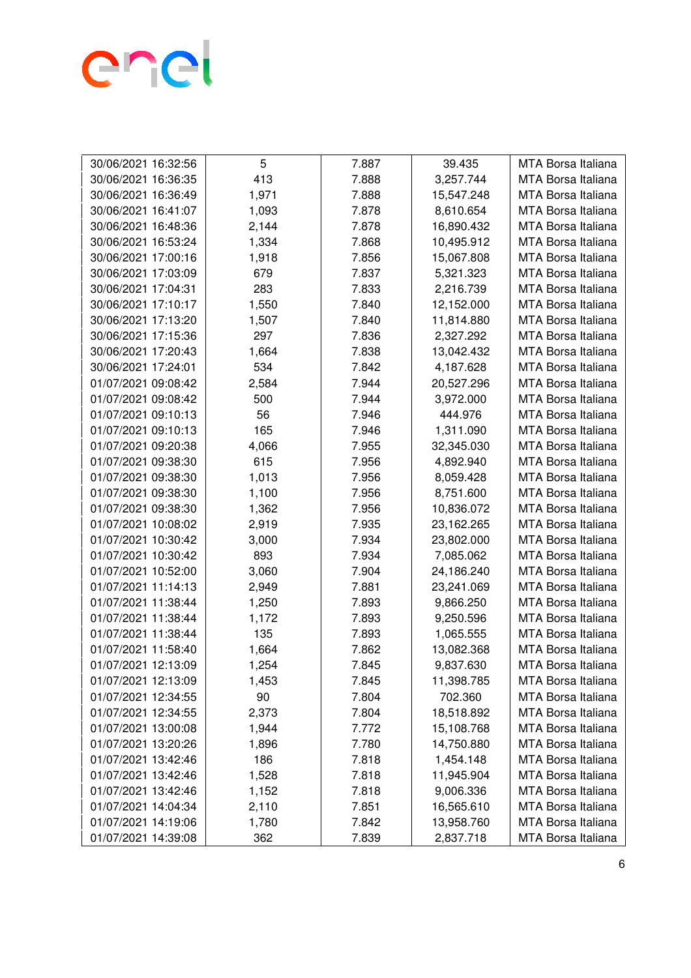

| 30/06/2021 16:32:56 | 5     | 7.887 | 39.435     | MTA Borsa Italiana        |
|---------------------|-------|-------|------------|---------------------------|
| 30/06/2021 16:36:35 | 413   | 7.888 | 3,257.744  | MTA Borsa Italiana        |
| 30/06/2021 16:36:49 | 1,971 | 7.888 | 15,547.248 | MTA Borsa Italiana        |
| 30/06/2021 16:41:07 | 1,093 | 7.878 | 8,610.654  | MTA Borsa Italiana        |
| 30/06/2021 16:48:36 | 2,144 | 7.878 | 16,890.432 | MTA Borsa Italiana        |
| 30/06/2021 16:53:24 | 1,334 | 7.868 | 10,495.912 | MTA Borsa Italiana        |
| 30/06/2021 17:00:16 | 1,918 | 7.856 | 15,067.808 | MTA Borsa Italiana        |
| 30/06/2021 17:03:09 | 679   | 7.837 | 5,321.323  | <b>MTA Borsa Italiana</b> |
| 30/06/2021 17:04:31 | 283   | 7.833 | 2,216.739  | MTA Borsa Italiana        |
| 30/06/2021 17:10:17 | 1,550 | 7.840 | 12,152.000 | MTA Borsa Italiana        |
| 30/06/2021 17:13:20 | 1,507 | 7.840 | 11,814.880 | MTA Borsa Italiana        |
| 30/06/2021 17:15:36 | 297   | 7.836 | 2,327.292  | MTA Borsa Italiana        |
| 30/06/2021 17:20:43 | 1,664 | 7.838 | 13,042.432 | MTA Borsa Italiana        |
| 30/06/2021 17:24:01 | 534   | 7.842 | 4,187.628  | MTA Borsa Italiana        |
| 01/07/2021 09:08:42 | 2,584 | 7.944 | 20,527.296 | <b>MTA Borsa Italiana</b> |
| 01/07/2021 09:08:42 | 500   | 7.944 | 3,972.000  | MTA Borsa Italiana        |
| 01/07/2021 09:10:13 | 56    | 7.946 | 444.976    | MTA Borsa Italiana        |
| 01/07/2021 09:10:13 | 165   | 7.946 | 1,311.090  | MTA Borsa Italiana        |
| 01/07/2021 09:20:38 | 4,066 | 7.955 | 32,345.030 | <b>MTA Borsa Italiana</b> |
| 01/07/2021 09:38:30 | 615   | 7.956 | 4,892.940  | MTA Borsa Italiana        |
| 01/07/2021 09:38:30 | 1,013 | 7.956 | 8,059.428  | MTA Borsa Italiana        |
| 01/07/2021 09:38:30 | 1,100 | 7.956 | 8,751.600  | MTA Borsa Italiana        |
| 01/07/2021 09:38:30 | 1,362 | 7.956 | 10,836.072 | MTA Borsa Italiana        |
| 01/07/2021 10:08:02 | 2,919 | 7.935 | 23,162.265 | MTA Borsa Italiana        |
| 01/07/2021 10:30:42 | 3,000 | 7.934 | 23,802.000 | MTA Borsa Italiana        |
| 01/07/2021 10:30:42 | 893   | 7.934 | 7,085.062  | MTA Borsa Italiana        |
| 01/07/2021 10:52:00 | 3,060 | 7.904 | 24,186.240 | MTA Borsa Italiana        |
| 01/07/2021 11:14:13 | 2,949 | 7.881 | 23,241.069 | MTA Borsa Italiana        |
| 01/07/2021 11:38:44 | 1,250 | 7.893 | 9,866.250  | MTA Borsa Italiana        |
| 01/07/2021 11:38:44 | 1,172 | 7.893 | 9,250.596  | <b>MTA Borsa Italiana</b> |
| 01/07/2021 11:38:44 | 135   | 7.893 | 1,065.555  | MTA Borsa Italiana        |
| 01/07/2021 11:58:40 | 1,664 | 7.862 | 13,082.368 | <b>MTA Borsa Italiana</b> |
| 01/07/2021 12:13:09 | 1,254 | 7.845 | 9,837.630  | MTA Borsa Italiana        |
| 01/07/2021 12:13:09 | 1,453 | 7.845 | 11,398.785 | MTA Borsa Italiana        |
| 01/07/2021 12:34:55 | 90    | 7.804 | 702.360    | MTA Borsa Italiana        |
| 01/07/2021 12:34:55 | 2,373 | 7.804 | 18,518.892 | MTA Borsa Italiana        |
| 01/07/2021 13:00:08 | 1,944 | 7.772 | 15,108.768 | MTA Borsa Italiana        |
| 01/07/2021 13:20:26 | 1,896 | 7.780 | 14,750.880 | MTA Borsa Italiana        |
| 01/07/2021 13:42:46 | 186   | 7.818 | 1,454.148  | MTA Borsa Italiana        |
| 01/07/2021 13:42:46 | 1,528 | 7.818 | 11,945.904 | <b>MTA Borsa Italiana</b> |
| 01/07/2021 13:42:46 | 1,152 | 7.818 | 9,006.336  | <b>MTA Borsa Italiana</b> |
| 01/07/2021 14:04:34 | 2,110 | 7.851 | 16,565.610 | MTA Borsa Italiana        |
| 01/07/2021 14:19:06 | 1,780 | 7.842 | 13,958.760 | MTA Borsa Italiana        |
| 01/07/2021 14:39:08 | 362   | 7.839 | 2,837.718  | MTA Borsa Italiana        |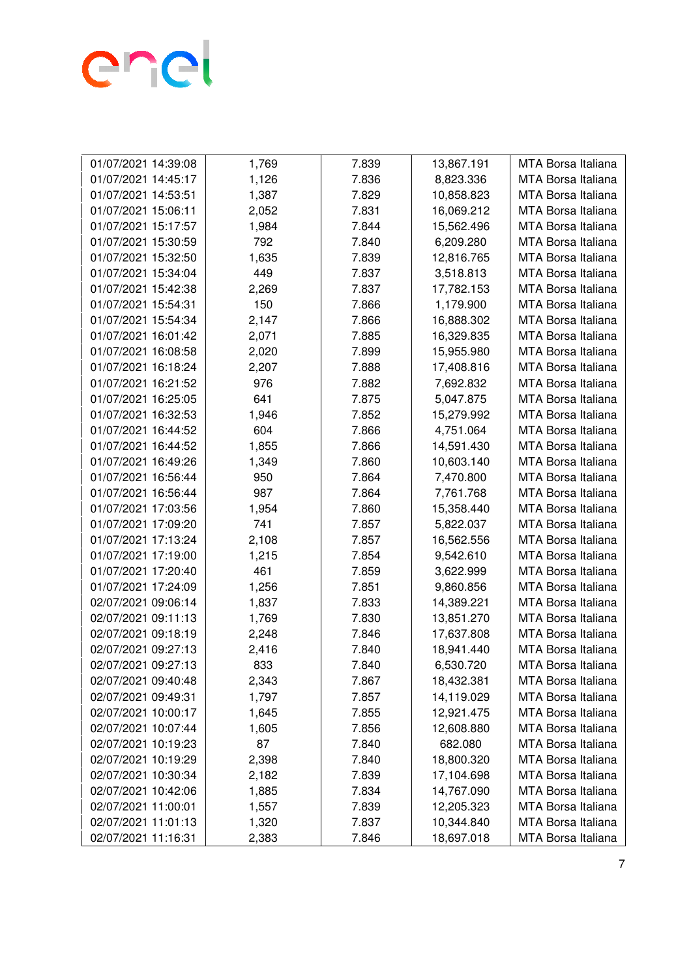

| 01/07/2021 14:39:08<br>1,769<br>7.839<br>13,867.191<br>MTA Borsa Italiana<br>1,126<br>7.836<br>8,823.336<br>MTA Borsa Italiana<br>01/07/2021 14:45:17<br>1,387<br>7.829<br>10,858.823<br>01/07/2021 14:53:51<br>MTA Borsa Italiana<br>01/07/2021 15:06:11<br>2,052<br>7.831<br>16,069.212<br>MTA Borsa Italiana<br>1,984<br>7.844<br>15,562.496<br>MTA Borsa Italiana<br>01/07/2021 15:17:57<br>792<br>01/07/2021 15:30:59<br>7.840<br>6,209.280<br>MTA Borsa Italiana<br>1,635<br>7.839<br>12,816.765<br>MTA Borsa Italiana<br>01/07/2021 15:32:50<br>449<br>7.837<br>MTA Borsa Italiana<br>01/07/2021 15:34:04<br>3,518.813<br>2,269<br>7.837<br>MTA Borsa Italiana<br>01/07/2021 15:42:38<br>17,782.153<br>150<br>7.866<br>1,179.900<br>MTA Borsa Italiana<br>01/07/2021 15:54:31<br>01/07/2021 15:54:34<br>2,147<br>7.866<br>16,888.302<br>MTA Borsa Italiana<br>01/07/2021 16:01:42<br>2,071<br>7.885<br>16,329.835<br>MTA Borsa Italiana<br>2,020<br>7.899<br>MTA Borsa Italiana<br>01/07/2021 16:08:58<br>15,955.980<br>2,207<br>7.888<br>01/07/2021 16:18:24<br>17,408.816<br>MTA Borsa Italiana<br>976<br>7,692.832<br><b>MTA Borsa Italiana</b><br>01/07/2021 16:21:52<br>7.882<br>641<br>MTA Borsa Italiana<br>01/07/2021 16:25:05<br>7.875<br>5,047.875<br>1,946<br>7.852<br>MTA Borsa Italiana<br>01/07/2021 16:32:53<br>15,279.992<br>604<br>7.866<br>4,751.064<br>01/07/2021 16:44:52<br>MTA Borsa Italiana<br>1,855<br>14,591.430<br>01/07/2021 16:44:52<br>7.866<br>MTA Borsa Italiana<br>7.860<br>01/07/2021 16:49:26<br>1,349<br>10,603.140<br>MTA Borsa Italiana<br>950<br>7.864<br>7,470.800<br>MTA Borsa Italiana<br>01/07/2021 16:56:44<br>987<br>7.864<br>01/07/2021 16:56:44<br>7,761.768<br>MTA Borsa Italiana<br>MTA Borsa Italiana<br>01/07/2021 17:03:56<br>1,954<br>7.860<br>15,358.440<br>741<br>01/07/2021 17:09:20<br>7.857<br>5,822.037<br>MTA Borsa Italiana<br>01/07/2021 17:13:24<br>2,108<br>7.857<br>MTA Borsa Italiana<br>16,562.556<br>1,215<br>7.854<br>9,542.610<br>01/07/2021 17:19:00<br>MTA Borsa Italiana<br>01/07/2021 17:20:40<br>461<br>3,622.999<br>7.859<br>MTA Borsa Italiana<br>7.851<br>01/07/2021 17:24:09<br>1,256<br>9,860.856<br>MTA Borsa Italiana<br>1,837<br>7.833<br>02/07/2021 09:06:14<br>14,389.221<br>MTA Borsa Italiana |
|---------------------------------------------------------------------------------------------------------------------------------------------------------------------------------------------------------------------------------------------------------------------------------------------------------------------------------------------------------------------------------------------------------------------------------------------------------------------------------------------------------------------------------------------------------------------------------------------------------------------------------------------------------------------------------------------------------------------------------------------------------------------------------------------------------------------------------------------------------------------------------------------------------------------------------------------------------------------------------------------------------------------------------------------------------------------------------------------------------------------------------------------------------------------------------------------------------------------------------------------------------------------------------------------------------------------------------------------------------------------------------------------------------------------------------------------------------------------------------------------------------------------------------------------------------------------------------------------------------------------------------------------------------------------------------------------------------------------------------------------------------------------------------------------------------------------------------------------------------------------------------------------------------------------------------------------------------------------------------------------------------------------------------------------------------------------------------------------------------------------------------------------------------------------------------------------------------------------------------------------------------------------------------------------|
|                                                                                                                                                                                                                                                                                                                                                                                                                                                                                                                                                                                                                                                                                                                                                                                                                                                                                                                                                                                                                                                                                                                                                                                                                                                                                                                                                                                                                                                                                                                                                                                                                                                                                                                                                                                                                                                                                                                                                                                                                                                                                                                                                                                                                                                                                             |
|                                                                                                                                                                                                                                                                                                                                                                                                                                                                                                                                                                                                                                                                                                                                                                                                                                                                                                                                                                                                                                                                                                                                                                                                                                                                                                                                                                                                                                                                                                                                                                                                                                                                                                                                                                                                                                                                                                                                                                                                                                                                                                                                                                                                                                                                                             |
|                                                                                                                                                                                                                                                                                                                                                                                                                                                                                                                                                                                                                                                                                                                                                                                                                                                                                                                                                                                                                                                                                                                                                                                                                                                                                                                                                                                                                                                                                                                                                                                                                                                                                                                                                                                                                                                                                                                                                                                                                                                                                                                                                                                                                                                                                             |
|                                                                                                                                                                                                                                                                                                                                                                                                                                                                                                                                                                                                                                                                                                                                                                                                                                                                                                                                                                                                                                                                                                                                                                                                                                                                                                                                                                                                                                                                                                                                                                                                                                                                                                                                                                                                                                                                                                                                                                                                                                                                                                                                                                                                                                                                                             |
|                                                                                                                                                                                                                                                                                                                                                                                                                                                                                                                                                                                                                                                                                                                                                                                                                                                                                                                                                                                                                                                                                                                                                                                                                                                                                                                                                                                                                                                                                                                                                                                                                                                                                                                                                                                                                                                                                                                                                                                                                                                                                                                                                                                                                                                                                             |
|                                                                                                                                                                                                                                                                                                                                                                                                                                                                                                                                                                                                                                                                                                                                                                                                                                                                                                                                                                                                                                                                                                                                                                                                                                                                                                                                                                                                                                                                                                                                                                                                                                                                                                                                                                                                                                                                                                                                                                                                                                                                                                                                                                                                                                                                                             |
|                                                                                                                                                                                                                                                                                                                                                                                                                                                                                                                                                                                                                                                                                                                                                                                                                                                                                                                                                                                                                                                                                                                                                                                                                                                                                                                                                                                                                                                                                                                                                                                                                                                                                                                                                                                                                                                                                                                                                                                                                                                                                                                                                                                                                                                                                             |
|                                                                                                                                                                                                                                                                                                                                                                                                                                                                                                                                                                                                                                                                                                                                                                                                                                                                                                                                                                                                                                                                                                                                                                                                                                                                                                                                                                                                                                                                                                                                                                                                                                                                                                                                                                                                                                                                                                                                                                                                                                                                                                                                                                                                                                                                                             |
|                                                                                                                                                                                                                                                                                                                                                                                                                                                                                                                                                                                                                                                                                                                                                                                                                                                                                                                                                                                                                                                                                                                                                                                                                                                                                                                                                                                                                                                                                                                                                                                                                                                                                                                                                                                                                                                                                                                                                                                                                                                                                                                                                                                                                                                                                             |
|                                                                                                                                                                                                                                                                                                                                                                                                                                                                                                                                                                                                                                                                                                                                                                                                                                                                                                                                                                                                                                                                                                                                                                                                                                                                                                                                                                                                                                                                                                                                                                                                                                                                                                                                                                                                                                                                                                                                                                                                                                                                                                                                                                                                                                                                                             |
|                                                                                                                                                                                                                                                                                                                                                                                                                                                                                                                                                                                                                                                                                                                                                                                                                                                                                                                                                                                                                                                                                                                                                                                                                                                                                                                                                                                                                                                                                                                                                                                                                                                                                                                                                                                                                                                                                                                                                                                                                                                                                                                                                                                                                                                                                             |
|                                                                                                                                                                                                                                                                                                                                                                                                                                                                                                                                                                                                                                                                                                                                                                                                                                                                                                                                                                                                                                                                                                                                                                                                                                                                                                                                                                                                                                                                                                                                                                                                                                                                                                                                                                                                                                                                                                                                                                                                                                                                                                                                                                                                                                                                                             |
|                                                                                                                                                                                                                                                                                                                                                                                                                                                                                                                                                                                                                                                                                                                                                                                                                                                                                                                                                                                                                                                                                                                                                                                                                                                                                                                                                                                                                                                                                                                                                                                                                                                                                                                                                                                                                                                                                                                                                                                                                                                                                                                                                                                                                                                                                             |
|                                                                                                                                                                                                                                                                                                                                                                                                                                                                                                                                                                                                                                                                                                                                                                                                                                                                                                                                                                                                                                                                                                                                                                                                                                                                                                                                                                                                                                                                                                                                                                                                                                                                                                                                                                                                                                                                                                                                                                                                                                                                                                                                                                                                                                                                                             |
|                                                                                                                                                                                                                                                                                                                                                                                                                                                                                                                                                                                                                                                                                                                                                                                                                                                                                                                                                                                                                                                                                                                                                                                                                                                                                                                                                                                                                                                                                                                                                                                                                                                                                                                                                                                                                                                                                                                                                                                                                                                                                                                                                                                                                                                                                             |
|                                                                                                                                                                                                                                                                                                                                                                                                                                                                                                                                                                                                                                                                                                                                                                                                                                                                                                                                                                                                                                                                                                                                                                                                                                                                                                                                                                                                                                                                                                                                                                                                                                                                                                                                                                                                                                                                                                                                                                                                                                                                                                                                                                                                                                                                                             |
|                                                                                                                                                                                                                                                                                                                                                                                                                                                                                                                                                                                                                                                                                                                                                                                                                                                                                                                                                                                                                                                                                                                                                                                                                                                                                                                                                                                                                                                                                                                                                                                                                                                                                                                                                                                                                                                                                                                                                                                                                                                                                                                                                                                                                                                                                             |
|                                                                                                                                                                                                                                                                                                                                                                                                                                                                                                                                                                                                                                                                                                                                                                                                                                                                                                                                                                                                                                                                                                                                                                                                                                                                                                                                                                                                                                                                                                                                                                                                                                                                                                                                                                                                                                                                                                                                                                                                                                                                                                                                                                                                                                                                                             |
|                                                                                                                                                                                                                                                                                                                                                                                                                                                                                                                                                                                                                                                                                                                                                                                                                                                                                                                                                                                                                                                                                                                                                                                                                                                                                                                                                                                                                                                                                                                                                                                                                                                                                                                                                                                                                                                                                                                                                                                                                                                                                                                                                                                                                                                                                             |
|                                                                                                                                                                                                                                                                                                                                                                                                                                                                                                                                                                                                                                                                                                                                                                                                                                                                                                                                                                                                                                                                                                                                                                                                                                                                                                                                                                                                                                                                                                                                                                                                                                                                                                                                                                                                                                                                                                                                                                                                                                                                                                                                                                                                                                                                                             |
|                                                                                                                                                                                                                                                                                                                                                                                                                                                                                                                                                                                                                                                                                                                                                                                                                                                                                                                                                                                                                                                                                                                                                                                                                                                                                                                                                                                                                                                                                                                                                                                                                                                                                                                                                                                                                                                                                                                                                                                                                                                                                                                                                                                                                                                                                             |
|                                                                                                                                                                                                                                                                                                                                                                                                                                                                                                                                                                                                                                                                                                                                                                                                                                                                                                                                                                                                                                                                                                                                                                                                                                                                                                                                                                                                                                                                                                                                                                                                                                                                                                                                                                                                                                                                                                                                                                                                                                                                                                                                                                                                                                                                                             |
|                                                                                                                                                                                                                                                                                                                                                                                                                                                                                                                                                                                                                                                                                                                                                                                                                                                                                                                                                                                                                                                                                                                                                                                                                                                                                                                                                                                                                                                                                                                                                                                                                                                                                                                                                                                                                                                                                                                                                                                                                                                                                                                                                                                                                                                                                             |
|                                                                                                                                                                                                                                                                                                                                                                                                                                                                                                                                                                                                                                                                                                                                                                                                                                                                                                                                                                                                                                                                                                                                                                                                                                                                                                                                                                                                                                                                                                                                                                                                                                                                                                                                                                                                                                                                                                                                                                                                                                                                                                                                                                                                                                                                                             |
|                                                                                                                                                                                                                                                                                                                                                                                                                                                                                                                                                                                                                                                                                                                                                                                                                                                                                                                                                                                                                                                                                                                                                                                                                                                                                                                                                                                                                                                                                                                                                                                                                                                                                                                                                                                                                                                                                                                                                                                                                                                                                                                                                                                                                                                                                             |
|                                                                                                                                                                                                                                                                                                                                                                                                                                                                                                                                                                                                                                                                                                                                                                                                                                                                                                                                                                                                                                                                                                                                                                                                                                                                                                                                                                                                                                                                                                                                                                                                                                                                                                                                                                                                                                                                                                                                                                                                                                                                                                                                                                                                                                                                                             |
|                                                                                                                                                                                                                                                                                                                                                                                                                                                                                                                                                                                                                                                                                                                                                                                                                                                                                                                                                                                                                                                                                                                                                                                                                                                                                                                                                                                                                                                                                                                                                                                                                                                                                                                                                                                                                                                                                                                                                                                                                                                                                                                                                                                                                                                                                             |
|                                                                                                                                                                                                                                                                                                                                                                                                                                                                                                                                                                                                                                                                                                                                                                                                                                                                                                                                                                                                                                                                                                                                                                                                                                                                                                                                                                                                                                                                                                                                                                                                                                                                                                                                                                                                                                                                                                                                                                                                                                                                                                                                                                                                                                                                                             |
|                                                                                                                                                                                                                                                                                                                                                                                                                                                                                                                                                                                                                                                                                                                                                                                                                                                                                                                                                                                                                                                                                                                                                                                                                                                                                                                                                                                                                                                                                                                                                                                                                                                                                                                                                                                                                                                                                                                                                                                                                                                                                                                                                                                                                                                                                             |
| 1,769<br>7.830<br>02/07/2021 09:11:13<br>13,851.270<br>MTA Borsa Italiana                                                                                                                                                                                                                                                                                                                                                                                                                                                                                                                                                                                                                                                                                                                                                                                                                                                                                                                                                                                                                                                                                                                                                                                                                                                                                                                                                                                                                                                                                                                                                                                                                                                                                                                                                                                                                                                                                                                                                                                                                                                                                                                                                                                                                   |
| 17,637.808<br>MTA Borsa Italiana<br>02/07/2021 09:18:19<br>2,248<br>7.846                                                                                                                                                                                                                                                                                                                                                                                                                                                                                                                                                                                                                                                                                                                                                                                                                                                                                                                                                                                                                                                                                                                                                                                                                                                                                                                                                                                                                                                                                                                                                                                                                                                                                                                                                                                                                                                                                                                                                                                                                                                                                                                                                                                                                   |
| 18,941.440<br>MTA Borsa Italiana<br>02/07/2021 09:27:13<br>2,416<br>7.840                                                                                                                                                                                                                                                                                                                                                                                                                                                                                                                                                                                                                                                                                                                                                                                                                                                                                                                                                                                                                                                                                                                                                                                                                                                                                                                                                                                                                                                                                                                                                                                                                                                                                                                                                                                                                                                                                                                                                                                                                                                                                                                                                                                                                   |
| 833<br>02/07/2021 09:27:13<br>7.840<br>6,530.720<br>MTA Borsa Italiana                                                                                                                                                                                                                                                                                                                                                                                                                                                                                                                                                                                                                                                                                                                                                                                                                                                                                                                                                                                                                                                                                                                                                                                                                                                                                                                                                                                                                                                                                                                                                                                                                                                                                                                                                                                                                                                                                                                                                                                                                                                                                                                                                                                                                      |
| MTA Borsa Italiana<br>02/07/2021 09:40:48<br>2,343<br>7.867<br>18,432.381                                                                                                                                                                                                                                                                                                                                                                                                                                                                                                                                                                                                                                                                                                                                                                                                                                                                                                                                                                                                                                                                                                                                                                                                                                                                                                                                                                                                                                                                                                                                                                                                                                                                                                                                                                                                                                                                                                                                                                                                                                                                                                                                                                                                                   |
| 02/07/2021 09:49:31<br>1,797<br>7.857<br>14,119.029<br><b>MTA Borsa Italiana</b>                                                                                                                                                                                                                                                                                                                                                                                                                                                                                                                                                                                                                                                                                                                                                                                                                                                                                                                                                                                                                                                                                                                                                                                                                                                                                                                                                                                                                                                                                                                                                                                                                                                                                                                                                                                                                                                                                                                                                                                                                                                                                                                                                                                                            |
| 02/07/2021 10:00:17<br>MTA Borsa Italiana<br>1,645<br>7.855<br>12,921.475                                                                                                                                                                                                                                                                                                                                                                                                                                                                                                                                                                                                                                                                                                                                                                                                                                                                                                                                                                                                                                                                                                                                                                                                                                                                                                                                                                                                                                                                                                                                                                                                                                                                                                                                                                                                                                                                                                                                                                                                                                                                                                                                                                                                                   |
| 02/07/2021 10:07:44<br>12,608.880<br>MTA Borsa Italiana<br>1,605<br>7.856                                                                                                                                                                                                                                                                                                                                                                                                                                                                                                                                                                                                                                                                                                                                                                                                                                                                                                                                                                                                                                                                                                                                                                                                                                                                                                                                                                                                                                                                                                                                                                                                                                                                                                                                                                                                                                                                                                                                                                                                                                                                                                                                                                                                                   |
| MTA Borsa Italiana<br>02/07/2021 10:19:23<br>87<br>682.080<br>7.840                                                                                                                                                                                                                                                                                                                                                                                                                                                                                                                                                                                                                                                                                                                                                                                                                                                                                                                                                                                                                                                                                                                                                                                                                                                                                                                                                                                                                                                                                                                                                                                                                                                                                                                                                                                                                                                                                                                                                                                                                                                                                                                                                                                                                         |
| 02/07/2021 10:19:29<br>2,398<br>18,800.320<br>MTA Borsa Italiana<br>7.840                                                                                                                                                                                                                                                                                                                                                                                                                                                                                                                                                                                                                                                                                                                                                                                                                                                                                                                                                                                                                                                                                                                                                                                                                                                                                                                                                                                                                                                                                                                                                                                                                                                                                                                                                                                                                                                                                                                                                                                                                                                                                                                                                                                                                   |
| 02/07/2021 10:30:34<br>MTA Borsa Italiana<br>2,182<br>7.839<br>17,104.698                                                                                                                                                                                                                                                                                                                                                                                                                                                                                                                                                                                                                                                                                                                                                                                                                                                                                                                                                                                                                                                                                                                                                                                                                                                                                                                                                                                                                                                                                                                                                                                                                                                                                                                                                                                                                                                                                                                                                                                                                                                                                                                                                                                                                   |
| 02/07/2021 10:42:06<br>14,767.090<br><b>MTA Borsa Italiana</b><br>1,885<br>7.834                                                                                                                                                                                                                                                                                                                                                                                                                                                                                                                                                                                                                                                                                                                                                                                                                                                                                                                                                                                                                                                                                                                                                                                                                                                                                                                                                                                                                                                                                                                                                                                                                                                                                                                                                                                                                                                                                                                                                                                                                                                                                                                                                                                                            |
| MTA Borsa Italiana<br>02/07/2021 11:00:01<br>1,557<br>7.839<br>12,205.323                                                                                                                                                                                                                                                                                                                                                                                                                                                                                                                                                                                                                                                                                                                                                                                                                                                                                                                                                                                                                                                                                                                                                                                                                                                                                                                                                                                                                                                                                                                                                                                                                                                                                                                                                                                                                                                                                                                                                                                                                                                                                                                                                                                                                   |
| MTA Borsa Italiana<br>02/07/2021 11:01:13<br>1,320<br>10,344.840<br>7.837                                                                                                                                                                                                                                                                                                                                                                                                                                                                                                                                                                                                                                                                                                                                                                                                                                                                                                                                                                                                                                                                                                                                                                                                                                                                                                                                                                                                                                                                                                                                                                                                                                                                                                                                                                                                                                                                                                                                                                                                                                                                                                                                                                                                                   |
| MTA Borsa Italiana<br>02/07/2021 11:16:31<br>2,383<br>7.846<br>18,697.018                                                                                                                                                                                                                                                                                                                                                                                                                                                                                                                                                                                                                                                                                                                                                                                                                                                                                                                                                                                                                                                                                                                                                                                                                                                                                                                                                                                                                                                                                                                                                                                                                                                                                                                                                                                                                                                                                                                                                                                                                                                                                                                                                                                                                   |